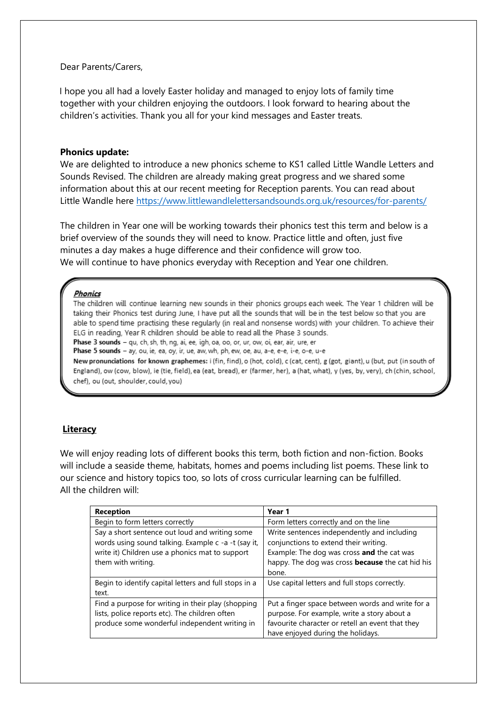### Dear Parents/Carers,

I hope you all had a lovely Easter holiday and managed to enjoy lots of family time together with your children enjoying the outdoors. I look forward to hearing about the children's activities. Thank you all for your kind messages and Easter treats.

#### **Phonics update:**

We are delighted to introduce a new phonics scheme to KS1 called Little Wandle Letters and Sounds Revised. The children are already making great progress and we shared some information about this at our recent meeting for Reception parents. You can read about Little Wandle here <https://www.littlewandlelettersandsounds.org.uk/resources/for-parents/>

The children in Year one will be working towards their phonics test this term and below is a brief overview of the sounds they will need to know. Practice little and often, just five minutes a day makes a huge difference and their confidence will grow too. We will continue to have phonics everyday with Reception and Year one children.

#### **Phonics**

The children will continue learning new sounds in their phonics groups each week. The Year 1 children will be taking their Phonics test during June, I have put all the sounds that will be in the test below so that you are able to spend time practising these regularly (in real and nonsense words) with your children. To achieve their ELG in reading, Year R children should be able to read all the Phase 3 sounds. Phase 3 sounds - qu, ch, sh, th, ng, ai, ee, igh, oa, oo, or, ur, ow, oi, ear, air, ure, er

Phase 5 sounds - ay, ou, ie, ea, oy, ir, ue, aw, wh, ph, ew, oe, au, a-e, e-e, i-e, o-e, u-e

New pronunciations for known graphemes: i (fin, find), o (hot, cold), c (cat, cent), g (got, giant), u (but, put (in south of England), ow (cow, blow), ie (tie, field), ea (eat, bread), er (farmer, her), a (hat, what), y (yes, by, very), ch (chin, school, chef), ou (out, shoulder, could, you)

### **Literacy**

We will enjoy reading lots of different books this term, both fiction and non-fiction. Books will include a seaside theme, habitats, homes and poems including list poems. These link to our science and history topics too, so lots of cross curricular learning can be fulfilled. All the children will:

| <b>Reception</b>                                                                                                                                                               | Year 1                                                                                                                                                                                                 |
|--------------------------------------------------------------------------------------------------------------------------------------------------------------------------------|--------------------------------------------------------------------------------------------------------------------------------------------------------------------------------------------------------|
| Begin to form letters correctly                                                                                                                                                | Form letters correctly and on the line                                                                                                                                                                 |
| Say a short sentence out loud and writing some<br>words using sound talking. Example c -a -t (say it,<br>write it) Children use a phonics mat to support<br>them with writing. | Write sentences independently and including<br>conjunctions to extend their writing.<br>Example: The dog was cross and the cat was<br>happy. The dog was cross <b>because</b> the cat hid his<br>bone. |
| Begin to identify capital letters and full stops in a<br>text.                                                                                                                 | Use capital letters and full stops correctly.                                                                                                                                                          |
| Find a purpose for writing in their play (shopping<br>lists, police reports etc). The children often<br>produce some wonderful independent writing in                          | Put a finger space between words and write for a<br>purpose. For example, write a story about a<br>favourite character or retell an event that they<br>have enjoyed during the holidays.               |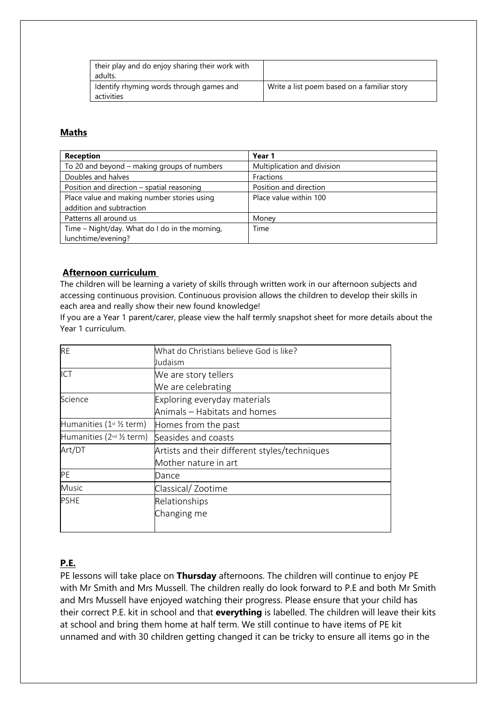| their play and do enjoy sharing their work with<br>adults. |                                             |
|------------------------------------------------------------|---------------------------------------------|
| Identify rhyming words through games and<br>activities     | Write a list poem based on a familiar story |

# **Maths**

| <b>Reception</b>                               | Year 1                      |
|------------------------------------------------|-----------------------------|
| To 20 and beyond - making groups of numbers    | Multiplication and division |
| Doubles and halves                             | Fractions                   |
| Position and direction - spatial reasoning     | Position and direction      |
| Place value and making number stories using    | Place value within 100      |
| addition and subtraction                       |                             |
| Patterns all around us                         | Money                       |
| Time - Night/day. What do I do in the morning, | Time                        |
| lunchtime/evening?                             |                             |

## **Afternoon curriculum**

The children will be learning a variety of skills through written work in our afternoon subjects and accessing continuous provision. Continuous provision allows the children to develop their skills in each area and really show their new found knowledge!

If you are a Year 1 parent/carer, please view the half termly snapshot sheet for more details about the Year 1 curriculum.

| <b>RE</b>                                      | What do Christians believe God is like?       |
|------------------------------------------------|-----------------------------------------------|
|                                                | Judaism                                       |
| ICT                                            | We are story tellers                          |
|                                                | We are celebrating                            |
| Science                                        | Exploring everyday materials                  |
|                                                | Animals – Habitats and homes                  |
| Humanities ( $1^{st}$ % term)                  | Homes from the past                           |
| Humanities $(2^{nd} \frac{1}{2} \text{ term})$ | Seasides and coasts                           |
| Art/DT                                         | Artists and their different styles/techniques |
|                                                | Mother nature in art                          |
| PE                                             | Dance                                         |
| Music                                          | Classical/Zootime                             |
| <b>PSHE</b>                                    | Relationships                                 |
|                                                | Changing me                                   |
|                                                |                                               |

# **P.E.**

PE lessons will take place on **Thursday** afternoons. The children will continue to enjoy PE with Mr Smith and Mrs Mussell. The children really do look forward to P.E and both Mr Smith and Mrs Mussell have enjoyed watching their progress. Please ensure that your child has their correct P.E. kit in school and that **everything** is labelled. The children will leave their kits at school and bring them home at half term. We still continue to have items of PE kit unnamed and with 30 children getting changed it can be tricky to ensure all items go in the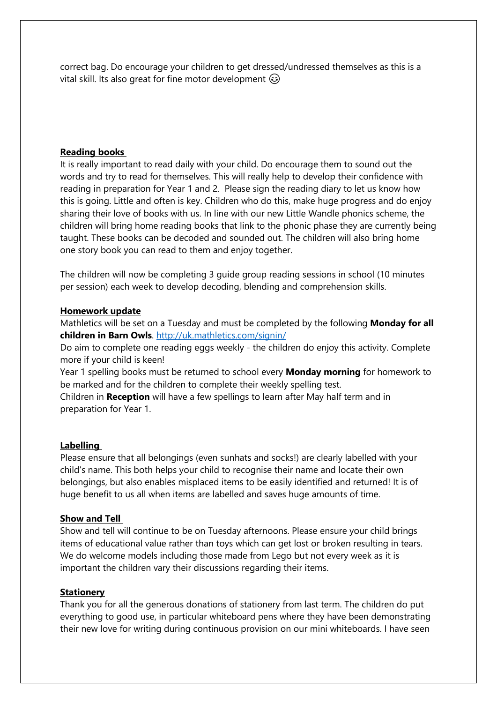correct bag. Do encourage your children to get dressed/undressed themselves as this is a vital skill. Its also great for fine motor development

## **Reading books**

It is really important to read daily with your child. Do encourage them to sound out the words and try to read for themselves. This will really help to develop their confidence with reading in preparation for Year 1 and 2. Please sign the reading diary to let us know how this is going. Little and often is key. Children who do this, make huge progress and do enjoy sharing their love of books with us. In line with our new Little Wandle phonics scheme, the children will bring home reading books that link to the phonic phase they are currently being taught. These books can be decoded and sounded out. The children will also bring home one story book you can read to them and enjoy together.

The children will now be completing 3 guide group reading sessions in school (10 minutes per session) each week to develop decoding, blending and comprehension skills.

### **Homework update**

Mathletics will be set on a Tuesday and must be completed by the following **Monday for all children in Barn Owls**. <http://uk.mathletics.com/signin/>

Do aim to complete one reading eggs weekly - the children do enjoy this activity. Complete more if your child is keen!

Year 1 spelling books must be returned to school every **Monday morning** for homework to be marked and for the children to complete their weekly spelling test.

Children in **Reception** will have a few spellings to learn after May half term and in preparation for Year 1.

### **Labelling**

Please ensure that all belongings (even sunhats and socks!) are clearly labelled with your child's name. This both helps your child to recognise their name and locate their own belongings, but also enables misplaced items to be easily identified and returned! It is of huge benefit to us all when items are labelled and saves huge amounts of time.

### **Show and Tell**

Show and tell will continue to be on Tuesday afternoons. Please ensure your child brings items of educational value rather than toys which can get lost or broken resulting in tears. We do welcome models including those made from Lego but not every week as it is important the children vary their discussions regarding their items.

## **Stationery**

Thank you for all the generous donations of stationery from last term. The children do put everything to good use, in particular whiteboard pens where they have been demonstrating their new love for writing during continuous provision on our mini whiteboards. I have seen